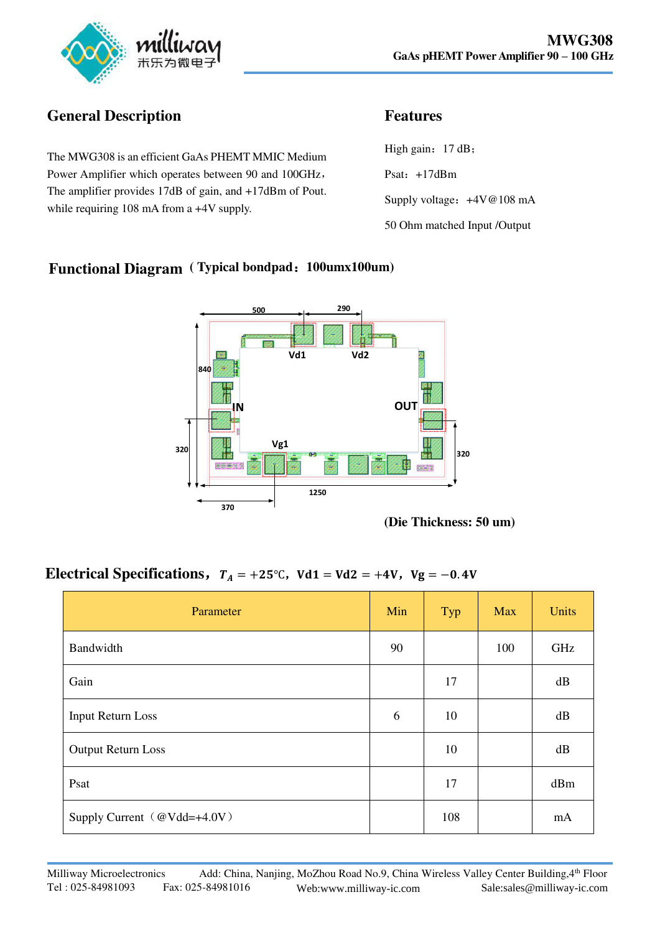

## **General Description**

The MWG308 is an efficient GaAs PHEMT MMIC Medium Power Amplifier which operates between 90 and 100GHz, The amplifier provides 17dB of gain, and +17dBm of Pout. while requiring 108 mA from a  $+4V$  supply.

## **Features**

High gain:  $17 dB$ ; Psat: +17dBm Supply voltage:  $+4V@108$  mA 50 Ohm matched Input /Output

### **Functional Diagram ( Typical bondpad**:**100umx100um)**



**(Die Thickness: 50 um)** 

#### **Electrical Specifications,**  $T_A = +25^\circ \text{C}$ ,  $Vd1 = Vd2 = +4V$ ,  $Vg = -0.4V$

| Parameter                       | Min | Typ | <b>Max</b> | <b>Units</b> |
|---------------------------------|-----|-----|------------|--------------|
| Bandwidth                       | 90  |     | 100        | GHz          |
| Gain                            |     | 17  |            | dB           |
| <b>Input Return Loss</b>        | 6   | 10  |            | dB           |
| <b>Output Return Loss</b>       |     | 10  |            | dB           |
| Psat                            |     | 17  |            | dBm          |
| Supply Current   @Vdd=+4.0V $)$ |     | 108 |            | mA           |